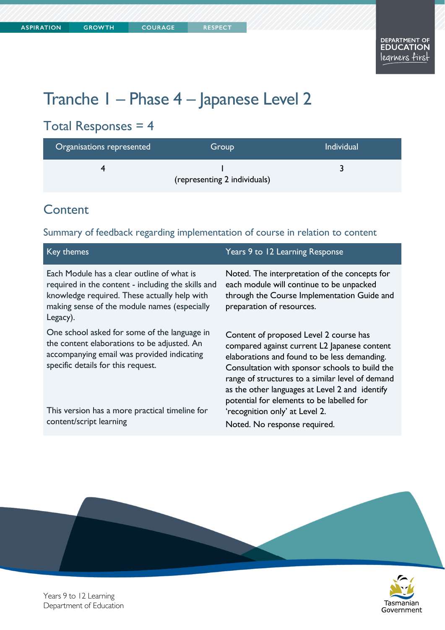# Tranche 1 – Phase 4 – Japanese Level 2

# Total Responses = 4

| Organisations represented | Group                        | <b>Individual</b> |
|---------------------------|------------------------------|-------------------|
|                           | (representing 2 individuals) |                   |

### **Content**

#### Summary of feedback regarding implementation of course in relation to content

| Key themes                                                                                                                                                                                                   | Years 9 to 12 Learning Response                                                                                                                                                                                                                                                                                                             |
|--------------------------------------------------------------------------------------------------------------------------------------------------------------------------------------------------------------|---------------------------------------------------------------------------------------------------------------------------------------------------------------------------------------------------------------------------------------------------------------------------------------------------------------------------------------------|
| Each Module has a clear outline of what is<br>required in the content - including the skills and<br>knowledge required. These actually help with<br>making sense of the module names (especially<br>Legacy). | Noted. The interpretation of the concepts for<br>each module will continue to be unpacked<br>through the Course Implementation Guide and<br>preparation of resources.                                                                                                                                                                       |
| One school asked for some of the language in<br>the content elaborations to be adjusted. An<br>accompanying email was provided indicating<br>specific details for this request.                              | Content of proposed Level 2 course has<br>compared against current L2 Japanese content<br>elaborations and found to be less demanding.<br>Consultation with sponsor schools to build the<br>range of structures to a similar level of demand<br>as the other languages at Level 2 and identify<br>potential for elements to be labelled for |
| This version has a more practical timeline for<br>content/script learning                                                                                                                                    | 'recognition only' at Level 2.                                                                                                                                                                                                                                                                                                              |
|                                                                                                                                                                                                              | Noted. No response required.                                                                                                                                                                                                                                                                                                                |



Years 9 to 12 Learning Department of Education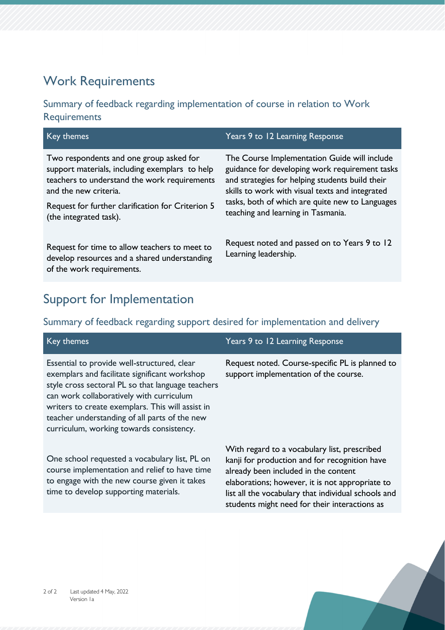### Work Requirements

#### Summary of feedback regarding implementation of course in relation to Work **Requirements**

| Key themes                                                                                                                                                                                                              | Years 9 to 12 Learning Response                                                                                                                                                                                                                                                               |  |
|-------------------------------------------------------------------------------------------------------------------------------------------------------------------------------------------------------------------------|-----------------------------------------------------------------------------------------------------------------------------------------------------------------------------------------------------------------------------------------------------------------------------------------------|--|
| Two respondents and one group asked for<br>support materials, including exemplars to help<br>teachers to understand the work requirements<br>and the new criteria.<br>Request for further clarification for Criterion 5 | The Course Implementation Guide will include<br>guidance for developing work requirement tasks<br>and strategies for helping students build their<br>skills to work with visual texts and integrated<br>tasks, both of which are quite new to Languages<br>teaching and learning in Tasmania. |  |
| (the integrated task).<br>Request for time to allow teachers to meet to                                                                                                                                                 | Request noted and passed on to Years 9 to 12                                                                                                                                                                                                                                                  |  |
| develop resources and a shared understanding<br>of the work requirements.                                                                                                                                               | Learning leadership.                                                                                                                                                                                                                                                                          |  |

## Support for Implementation

time to develop supporting materials.

#### Summary of feedback regarding support desired for implementation and delivery

| Key themes                                                                                                                                                                                                                                                                                                                                     | Years 9 to 12 Learning Response                                                                                                                                                          |
|------------------------------------------------------------------------------------------------------------------------------------------------------------------------------------------------------------------------------------------------------------------------------------------------------------------------------------------------|------------------------------------------------------------------------------------------------------------------------------------------------------------------------------------------|
| Essential to provide well-structured, clear<br>exemplars and facilitate significant workshop<br>style cross sectoral PL so that language teachers<br>can work collaboratively with curriculum<br>writers to create exemplars. This will assist in<br>teacher understanding of all parts of the new<br>curriculum, working towards consistency. | Request noted. Course-specific PL is planned to<br>support implementation of the course.                                                                                                 |
| One school requested a vocabulary list, PL on<br>course implementation and relief to have time<br>to engage with the new course given it takes                                                                                                                                                                                                 | With regard to a vocabulary list, prescribed<br>kanji for production and for recognition have<br>already been included in the content<br>elaborations; however, it is not appropriate to |

list all the vocabulary that individual schools and students might need for their interactions as